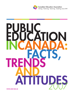

**Canadian Education Association**<br>linking . listening . learning . leading since 1891

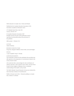### *Public Education in Canada: Facts, Trends and Attitudes*

Published by the Canadian Education Association (CEA) Association canadienne d'éducation (ACE)

317 Adelaide Street West, Suite 300 Toronto, ON M5V 1P9

© Canadian Education Association 2007 All rights reserved. No part of this publication may be reproduced mechanically without the permission of the publisher.

ISBN number: 1-896660-29-0

AUTHOR Jodene Dunleavy

RESEARCH ANALYSIS TEAM Doug Hart, Margaret Oldfield, Christa Freiler, and Luke Rodgers

DESIGN J. Lynn Campbell, Sonya V. Thursby

### ACKNOWLEDGEMENTS

CEA would like to thank all of the individuals who provided valuable expertise in the preparation of commentaries related to the survey research results.

CEA would also like to acknowledge the vital contributions of Thérèse LaFerrière, Claire Lapointe, Kevin Lukian, and Jean-Pierre Proulx for their insights in helping to form a contextual understanding of the Quebec survey results.

The Public Attitudes Toward Education Survey was conducted by York University's Institute of Social Research.

Publié en français sous le titre : *L'éducation publique au Canada – Faits, tendances et attitudes*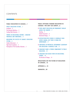# CONTENTS

### **PUBLIC EDUCATION IN CANADA…1**

### PUBLIC EDUCATION SYSTEMS…1

Enrolment…2 The Education Workforce…2 Funding Public Education…3

TRENDS IN EDUCATIONAL REFORM—CANADIAN PROVINCES AND TERRITORIES…3

# MEASURING THE SUCCESS OF CANADA'S EDUCATION SYSTEM…4

Student Achievement…4 High School Completion…5 Participation in Post-Secondary Education…5

### **PUBLIC ATTITUDES TOWARD EDUCATION IN CANADA—THE 2007 CEA SURVEY…6**

- **I** VIEWS ABOUT EDUCATION ARE REMARKABLY SIMILAR ACROSS THE COUNTRY…7 Teaching…7 Student Assessment…8 Educational Change…9
- **I** SATISFACTION WITH SCHOOLS IS GENERALLY HIGH ACROSS CANADA, BUT THERE IS ROOM FOR IMPROVEMENT…9
- **I** CONFIDENCE IN PROVINCIAL GOVERNMENT LEADERSHIP FOR EDUCATION IS GENERALLY LOW…11
- **I** CANADIANS SHARE A STRONG COMMITMENT TO PUBLIC EDUCATION…12
- **I** CANADIANS HAVE MIXED VIEWS ON EDUCATIONAL CHANGE…14 The Direction of Change…14

### **REFLECTIONS ON THE FUTURE OF EDUCATION IN CANADA…16**

**APPENDIX A…18**

**ENDNOTES…20**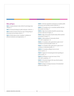### Tables and Figures

**TABLE 1:** Student:Educator ratios 2004/05 and change since 1998/99…3

**TABLE 2:** Provincial funding for public education, 2004/05…3

**TABLE 3:** Extent of need to find new ways of doing things in elementary and secondary schools…9

**TABLE 4:** World values survey: Canadians' confidence in different institutions and organizations…11

**FIGURE 1:** Full-time equivalent enrolments in Canadian public elementary and secondary schools (2004/05)…2

**FIGURE 2:** % Canadians very or somewhat satisfied with the jobs teachers are doing…7

**FIGURE 3:** High school students should be assessed using province-wide tests (% Agree)…8

**FIGURE 4:** High school grades should mainly reflect teachers' assessments (% Agree)…8

**FIGURE 5:** Public grading of community schools: 1979-2007 comparisons…10

**FIGURE 6:** % Canadians with a great deal or quite a lot of confidence in provincial public schools…10

**FIGURE 7:** % Canadians with a great deal or quite a lot of confidence in educational policy…12

**FIGURE 8:** % Canadians willing to serve on local school councils…12

**FIGURE 9:** Support for increased government spending on public schools…13

**FIGURE 10:** Willingness to pay more taxes (% Yes): 1984-2007 comparison…13

**FIGURE 11:** Perceived change in the way schools operate over the past 10 years…14

**FIGURE 12:** Degree of change necessary to fix educational problems by region…16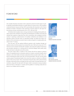# FOREWORD

The Canadian Education Association (CEA) is pleased to present its fourth report on public attitudes toward public education in Canada. Based on a survey of over 2,400 Canadians conducted between January and May 2007in partnership with researchers at the Ontario Institute for Studies in Education of the University of Toronto (OISE/UT), this report follows previous surveys commissioned by CEA in 1979, 1984 and 1990.

CEA believes that Canadians share a strong commitment to building vibrant public education systems that contribute to the growth and development of children and youth and cultivate their capacity to shape their lives, their communities, their workplaces and their country. In capturing a national picture of Canadians' satisfaction and confidence in our education systems and their views on educational change, we believe this report contributes to the conversations we need to have to realize our goals for Canadian public education in the 21<sup>st</sup> century.

Over the years, CEA has explored different questions with Canadians through our national surveys, but their purpose has remained the same. With each survey since 1979, CEA has set out to examine and describe Canadians' views about the quality of elementary and secondary education as a starting point for informed dialogue about public policy trends and issues in education across the country.

This year's report offers a number of new sections that did not appear in previous reports. An expanded section on education systems in Canada, a summary of public school indicators, and a brief outline of trends in educational reform provide readers with a context for reviewing the results of the 2007 CEA Survey that follow. This year, we also invited a diverse group of educational leaders from across the country to comment on different aspects of the survey results. These commentaries bring the data to life by demonstrating the types of discussions that can emerge from the survey results. We hope that these commentaries, along with the data itself, will inspire similar conversations among Canadians about the future of education in Canada and the qualities of a learning society that we desire for our children and for ourselves.



CAROLYN DUHAMEL PRESIDENT CANADIAN EDUCATION ASSOCIATION



PENNY MILTON CHIEF EXECUTIVE OFFICER CANADIAN EDUCATION ASSOCIATION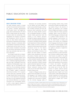# PUBLIC EDUCATION IN CANADA

### PUBLIC EDUCATION SYSTEMS

The public education system in Canada consists of ten provincial and three territorial systems, including approximately 15,000 public French- and English-language schools administered by 375 school boards. Canada remains the only federated nation within the membership of the Organization for Economic Co-operation and Development (OECD) that has no means for direct federal involvement in the direction of elementary and secondary education. Education is exclusively within the jurisdiction of provincial and territorial governments and has been since 1867 when Canada's Constitution Act provided that "[I]n and for each province, the legislature may exclusively make laws in relation to Education."i

Even though Canada lacks an integrated national strategy for education, provincial and territorial school systems across the country are remarkably similar: education is compulsory beginning generally at age 6 up to age 16, although in some cases compulsory schooling begins at age 5 and extends to age 18; all jurisdictions have some form of pre-elementary education (kindergarten) and most, with the exception of Quebec , <sup>1</sup> support a twelve-year elementary/secondary (K-12) program; and the school year is generally 190 days in length. Beyond these structural dimensions, it is also important to acknowledge that there are some significant provincial and territorial differences in curriculum, assessment and accountability policies, as well as many regional variations in approaching educational reform.

Elementary and secondary education for First Nations and Inuit children and youth is also provided through a combination of federal, provincial and local selfgoverned school authorities and band councils (see Gordon Martell's commentary on Aboriginal Education in Canada). Canada's federal government funds the majority of First Nations education through First Nations-operated schools on reserves, provincially administered schools off reserves, and federal schools operated by the Department of Indian and Northern Affairs Canada on reserves. However, the respective territorial governments provide educational services for First Nations and/or Inuit students in the Yukon, Nunavut, and Northwest Territories. First Nations and Inuit students in northern Quebec receive educational services from the province of Quebec under the James Bay and Northern Quebec Agreement<sup>ii</sup> and in 2006, the British Columbia First Nations Education Steering Committee (FNESC) and the Government of British Columbia signed an Education Agreement<sup>iii</sup> recognizing First Nations' jurisdiction over First Nations' education, enacting commitments set out in the 2005 tripartite *Transformative Change Accord*iv.

Canada is a bilingual country and recognizes French and English as its two official languages in the Canadian Constitution. More than 80% of French-speaking Canadians live in the province of Quebec, but the minority language rights of French-speaking students living outside the province of Quebec and English-speaking students living in the province of Quebec are protected in the Canadian Charter of Rights and Freedoms. A number of sections within the Charter guarantee Canadians' right to access all services in both official languages, including the right to a publicly funded education in the minority language of each province. For the 375 school boards in Canada, each province and territory has established French-language school boards to manage the network of French-language schools. In the province of Quebec the same structure applies to education in English-firstlanguage schools.

In the provinces of Alberta, Saskatchewan and Ontario, as well as the Northwest Territories, publicly funded Catholic school boards run parallel to the public secular school systems. These parallel systems have their origins in the late 1800s when separate Catholic and Protestant schools were guaranteed in the provinces of Ontario and Quebec. Throughout Canada, former Protestant systems are now secular and in the late 1990s the province of Quebec replaced separate Catholic and Protestant systems with linguistically-based English and French secular systems, while Newfoundland and Labrador integrated its formerly denominational systems into five geographically based districts (4 English- and 1 Frenchlanguage).

<sup>1</sup> In the province of Quebec, students attend one less year of secondary school. Following the completion of high school in grade 11, students have the option of attending publicly funded CEGEP or Collège d'enseignement général et professionnel/College of General and Vocational Education to complete a two-year pre-University or three-year technical program.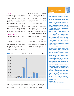### Enrolment

More than five million school-aged children in Canada, including approximately 120,000 Inuit and First Nations children and youth, were enrolled in the public education system during the 2004/05 school year. FIGURE 1 illustrates the large differences in the size of school systems across Canada from under 10,000 students enrolled in the Yukon, Northwest territories and Nunavut, to more than two million enrolled in the province of Ontario.<sup>v</sup>

### The Education Workforce

Data on the full complement of staff (e.g. teachers, school administrators, teaching assistants, custodians and administrative assistants) working in elementary and secondary schools across Canada is unavailable; however, detailed information available from Statistics Canada indicates that the educator workforce, which includes all employees in the public school system

who are required to have teacher certification as a condition of their employment, was just under 310,000 full-time equivalent (FTE) employees in 2004/05. The educator workforce is growing at a national level, but there are also some significant regional differences; the number of fulltime equivalent educators increased in eight jurisdictions and declined in five.vi, vii

**IGURE 1: IGURE 1: IGURE 1: IGURE 1: IGURE 1: IGURE 1: IGURE 1: IGURE 1: IGURE 1: IGURE 1: IGURE 1: IGURE 1: IGURE 1: IGURE 1: IGURE 1: IGURE 1: IGURE 1: IGURE 1: IGURE 1: IGURE 1: I** Another way to view the educator workforce is through student-to-educator ratios, which as a result of declining enrolments in some jurisdictions and a national trend toward the implementation of reduced class size policies,<sup>2</sup> has declined on a national scale since the 1970s. TABLE 1 shows recent changes since 1999, which generally reflect longer term trends of the number of full-time equivalent educators increasing more than student enrolments in all provinces and territories with the exception of British Columbia.



2 Note: student-to-educator ratios are not equivalent to class size because they include all staff with teacher certification who work outside of the classroom (e.g. principals, guidance counsellors etc.). Class size policies are mentioned here as one source of increases in the educator workforce.

### ABORIGINAL EDUCATION IN CANADA



Despite the very real problems facing many Aboriginal students and communities that result in less than equitable educational outcomes, there is much to be optimistic about. My optimism stems from the continued development of new and innovative responses to the needs of Aboriginal students and communities. Antiquated structures and one-size-fits-all educational delivery models are yielding to a variety of local and regional responses that benefit from Aboriginal community vision and capacity as well as federal, provincial and territorial participation within co-governance relationships.

The challenge outlined in the 1996 *Report of the Royal Commission on Aboriginal Peoples* was to undertake reforms of education systems to foster more equitable student success. The challenge is being realized with each creative response that emerges out of genuine dialogue. Various levels of government are recognizing the benefits of shared responsibility in maximizing resources and sharing expertise. Co-governance relationships can respect jurisdiction and autonomy while dismantling roadblocks and creating pathways.

Building capacity and fostering independence results in a variety of models across the continuum of parental and community engagement. From the work of the First Nations Education Steering Committee to redefining parental and community participation in British Columbia to active co-governance arrangements between provincial school divisions and First Nations educational authorities in Saskatchewan, the independent Akwasasne Mohawk Schools in Ontario and Quebec, and the Mi'kmaw-Kina' matnewey education system in Nova Scotia, there is compelling evidence that the realization of genuine community participation fosters renewal and success.

The achievement of equitable educational outcomes for Aboriginal children will require all levels of government to recognize the successes that have been achieved through enhanced participation of Aboriginal communities. Dismantling comfortable structures and taking risks with new relationships and power sharing arrangements is daunting. It is important to consider the tenacity of our Elders, the hope of our children and the desire of all Canadians to achieve outcomes representative of our democratic goals. There is no greater motivation than the success of our children.

### GORDON MARTELL GREATER SASKATOON CATHOLIC SCHOOLS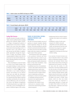### **TABLE 1:** Student-to-educator ratios 2004/05 and change since 1998/99

|          | Canada | <b>NL</b> | PEI  | <b>NS</b> | <b>NB</b> | QC   | <b>ON</b> | <b>MB</b> | <b>SK</b> | AB       | BC     | YK     | <b>NWT</b> | <b>NU</b> |
|----------|--------|-----------|------|-----------|-----------|------|-----------|-----------|-----------|----------|--------|--------|------------|-----------|
| 2004/05  | 15.9   | 13.6      | 15.1 | 15.7      | 15.9      | 14.2 | 16.6      | 14.5      | 15.5      | $*16.9$  | 17.5   | 11.5   | 15.4       | 16.2      |
| % Change | -1.7   | ۱.5       | 0.6  | $-1.7$    | $-2.0$    | 0.1  | $-1.8$    | $-1.9$    | $-0.4$    | $*$ -5.7 | $-0.9$ | $-4.4$ | $-0.7$     | $-15.4$   |

### **TABLE 2:** Provincial funding for public education, 2004/05

| Canada  | <b>NL</b> | PEI | <b>NS</b>                                                                        | <b>NB</b> | OC | <b>ON</b> | <b>MB</b> | <b>SK</b> | AB | - BC | YK | <b>NWT</b> | <b>NU</b> |  |
|---------|-----------|-----|----------------------------------------------------------------------------------|-----------|----|-----------|-----------|-----------|----|------|----|------------|-----------|--|
| \$9,040 |           |     | 8,075 7,583 7,728 8,653 8,663 9,267 9,394 9,031 9,346 8,960 15,837 13,344 13,040 |           |    |           |           |           |    |      |    |            |           |  |

### Funding Public Education

All public education through secondary (or "high") school is publicly funded, including general and vocational colleges (CEGEPs, or Collèges d'enseignement général et professionnel) in the province of Quebec. Based on the most recent data available, provincial/territorial spending on the K-12 education sector in the 2004/05 school year was just over \$44 billion. In addition, public expenditures through the Department of Indian and Northern Affairs Canada totalled \$1.6 billion in the 2005/06 school year for Inuit and First Nations students attending federally and provincially funded schools.viii

These overall figures can also be looked at in terms of per student funding. Total per student funding in Canada amounted to \$9,040 in 2004/05, an increase of 28% from \$7,077 in 1998/99. TABLE 2 provides information on per student funding by province and territory for the 2004/05 school year and while this information provides interesting comparisons, readers are cautioned that these figures represent real dollars and therefore, do not take into account differences in the cost of providing services and different arrangements for delivering education (e.g. length of the school day or year, pre-kindergarten programs) in different regions of the country.

### TRENDS IN EDUCATIONAL REFORM – CANADIAN PROVINCES AND **TERRITORIES**

The 2007 CEA Survey included a new set of questions to measure Canadians' attitudes toward educational change over the past ten years. This section provides an overview of trends in provincial and territorial education reform since the mid-1990s to provide readers with some context for understanding the results of these questions.

Over the past ten years, reform agendas at the provincial, territorial and often school district level have centred on government commitments to greater accountability and improved student achievement. Based on these three foundations, many provinces and territories have:

- •established some form of standardized, province-wide student achievement tests;
- •implemented province-wide school and/or district improvement initiatives, commonly focused on student achievement in mathematics and literacy;
- •developed or revised curriculum policies to standardize learning outcomes;
- •invested in the implementation of reduced class size schemes;
- •contributed to the creation of new multi-sector (i.e. education, health, social service) early learning and development programs;
- •implemented reforms aimed at improving high school options and completion rates;
- •established a variety of multi-sector programs for children and youth vulnerable to less than optimal social, health, and educational outcomes; and,
- •introduced new programs to support increased parent and community engagement in learning and school level decision-making.

As an overview of trends, the above summary of education reform is only a partial picture of educational change in Canada – provincial and territorial reforms share some common areas of focus, but they are implemented and received in very different ways across the country. It is also important to note that mandated reforms are only one piece of the larger landscape of educational change where reforms are often contested through dynamic public debates about the best way to create high quality education and learning systems for all children and youth in Canada. These debates, which are often very similar across the country, are important to understanding education in Canada and we explore them further in the final section of this report – *Reflections on the Future of Education in Canada*.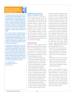### WHAT CAN WE LEARN FROM INTERNATIONAL AND NATIONAL ASSESSMENT RESULTS?



The Canadian government and the provincial and territorial governments have invested considerable resources in large-scale national and international studies to monitor educational performance. For example, Canada has participated in the Trends in International Mathematics and Science Study (TIMSS) conducted by the International Association for the Evaluation of Educational Achievement (IEA) and the Programme for International Student Assessment (PISA), an assessment of the knowledge and life skills of 15-year-old youth conducted by the Organisation for Economic Cooperation and Development (OECD).

These assessments furnish data that describe long-term trends in student performance in reading, mathematics, and science. Large-scale monitoring efforts can help us understand the distribution of educational outcomes within and between schools, and how this is related to structural features of the schooling system, including the formal and informal mechanisms governing selection into particular schools and school programs.

An important aim of large-scale studies is to discern the extent of inequalities in schooling outcomes among ethnic and social class groups and between the sexes. Some international studies provide information on students' opportunity to learn, including the amount of time devoted to instruction, teachers' expectations for achievement, the quality of teaching, and the human and material resources devoted to schooling. They also provide comparative data on the extent to which student performance is related to the intended or official curriculum of the state vis-à-vis the curriculum that is actually taught in the classroom.

### DR. J. DOUGLAS WILLMS CANADIAN RESEARCH INSTITUTE FOR SOCIAL POLICY

### MEASURING THE SUCCESS OF CANADA'S EDUCATION SYSTEM

There are many ways to measure the success of Canada's education system. And while we always have to remember that we are talking about 13 school systems with significant differences, Canada's achievements as a nation, compared to other industrialized western countries, are quite impressive. Like all countries, however, Canadian education systems also have some considerable challenges to resolve. This section offers an overview of how Canada "measures up" on some important education indicators and provides readers with a variety of resources that they can use to locate further information.

### Student Achievement

Students in Canada regularly achieve higher outcomes than students from many other OECD (Organization for Economic Co-operation and Development) countries. Results of the most recent OECD Programme for International Student Assessment (PISA), for example, show that 15-year-old students in Canada:

- •Outperformed students in all but two (Hong Kong-China and Finland) of the 41 participating countries in mathematics.<sup>ix</sup>
- •Continue to perform very well in reading; the overall achievement of Canadian students was significantly above the OECD average and only students in Finland outperformed Canadian students.
- •Performed well above the OECD average in science and problem solving. However, "relative to Canada's position in mathematics and reading, Canadian students did not perform as strongly in these two domains. Four countries performed significantly better than Canada in both science and problem solving. Eight countries performed as well as Canada in science and seven countries performed as well as Canada in problem solving."x

While all provinces performed at or above the OECD average in mathematics overall, there were some notable provincial differences. Students in Alberta, British Columbia and Quebec performed as well as those from the top performing countries, while students from Newfoundland and Labrador, Prince Edward Island, New Brunswick, Nova Scotia, and Saskatchewan performed below the Canadian average.<sup>xi</sup>

In many cases, youth in Canada also perform well on national School Achievement Indicators Program (SAIP) assessments (designed to measure the overall effectiveness of school science, literacy and mathematics programs), although the performance of 16-year-olds – especially in mathematics and problem solving measures – suggest that students begin to encounter challenges when they start to work with high school curricula.

- •Science 2004: 71% of 13-year-olds and 64% of 16-year-olds reached expected levels on the 2004 science assessment.
- •Writing 2002: 84% of 13-year-olds and 61% of 16-year-olds reached expected levels.
- •Mathematics 2001: 64% of 13-year-olds and 50% of 16-year-olds reached expectations in mathematics content areas while 68% of 13-year-olds and 47% of 16-year-olds met expectations in mathematical problem solving.xii

Similar to trends appearing in international assessments, there are significant regional differences in student achievement across Canada. In the 2004 SAIP science assessment for example, 13-yearolds in New Brunswick, Nova Scotia, Prince Edward Island, Newfoundland and Labrador, Yukon, and the Northwest Territories, as well as French-speaking students in Manitoba and Ontario performed under the Canadian average.xiii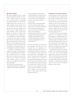### High School Completion

High school completion rates in Canada improved significantly during the 1990s. As the Canadian Council on Learning (CCL) recently reported, the percentage of Canadians aged 20 to 24 who did not complete high school, and who are no longer attending school, dropped from 17% in 1990/91 to 9% in 2005/06. In an age where the successful transition from school to work is highly dependent on youth obtaining at least a high school diploma, an increase in Canada's high school completion rate is a strong indicator of improvement. And while students in Canada are more likely to complete high school than students from the United States, Germany and France, they are less likely to do so than students in nine other industrialized countries, including several in Scandinavia and Eastern Europe, the United Kingdom, Switzerland and Austria. Xiv

In addition to gauging high school completion through overall graduation rates, our understanding of the characteristics of students who do not complete high school in Canada has grown considerably since the 1990s. The following points provide a picture of youth in Canada who disengage from high school before graduation:

•The number of young women who graduate from high school is significantly higher than the number of young men.

- •There are significant provincial and territorial differences in drop out rates; in 1999, drop out rates ranged from a low of just over 7% in Saskatchewan to just over 16% in Quebec and Prince Edward Island.
- •Drop out rates are consistently higher across the country outside of large urban centres; in 2004/05, "the dropout rates were seven percentage points lower in cities than in Canada's small towns and rural villages." xv
- •A disproportionate number of Canadian students living in poverty, youth with disabilities, and youth from visible minority and Aboriginal communities experience disengagement from secondary school.xvi

Finally, the national picture of high school non-completion rates takes on a new meaning when the participation of Canadian young adults (aged 20 to 24) in "second chance" programs is accounted for. In 2002, Statistics Canada reported the first results from its longitudinal 1999 Youth in Transition survey, which showed that the majority (85% or 341,000) of Canadian youth had graduated from high school by age 20 and a further 8.9% of the 48,441 twenty-year-olds who had dropped out of high school in earlier years were enrolled in or had completed some type of post-secondary education, including CEGEP, college, trade, vocational programs, or other courses above the high school level by 1999.xvii

### Participation in Post-Secondary Education

Canada continues to have one of the highest international rates of participation in post-secondary education (PSE). In 2004 the number of 20 to 24-year-olds in Canada enrolled in university, community college and other post-secondary programs exceeded rates in the United States and the United Kingdom. In the same year, however, Canada's PSE rate for this age group fell "slightly below the OECD average country mean of 41%." xviii

Data from 2004 also show that approximately 22% of working-age Canadians had completed a university degree and a further 22% had completed a college or vocational program. The benefits of PSE in Canada are unquestionable; in 2001 over 80% of adults who had completed postsecondary education were active in the labour force, compared to just under 50% who had only completed high school.

Apprenticeship programs also grew in number across Canada during the 1990s. In 2002, there were 234,500 registered apprentices in Canada (30% more than in 1992). As with the university sector where 6 in every 10 graduates are women, however, gender gaps continue to characterize enrolments in apprenticeship programs where in 2002, only 9% of registered apprentices were women.xix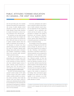# PUBLIC ATTITUDES TOWARD EDUCATION IN CANADA—THE 2007 CEA SURVEY

Over the past thirty years, the Canadian Education Association has conducted periodic surveys of public attitudes toward education in Canada. The 2007 Survey of Public Attitudes Toward Public Education in Canada is the fourth in a series of surveys conducted in 1979, 1984 and 1990.

The questions we have asked through our national surveys have changed over time, but their purpose has remained the same. With each survey we have set out to explore Canadian opinions about the quality of elementary and secondary (K-12) education, to monitor how these opinions change over time, and to publish the results to stimulate ongoing public dialogue about public policy in education and Canadians' commitment to building vibrant and successful public education systems across the country.

The 2007 CEA Survey grew out of a partnership with a research team at the Ontario Institute for Studies in Education at the University of Toronto (OISE/UT) who have conducted regular surveys of public attitudes toward education in Ontario since 1978. The results of the 2007 OISE/UT survey may be found at: www.oise.utoronto.ca/OISE-Survey

The 2007 CEA Survey involved a representative<sup>3</sup> random sample of 2441 adults (18 years of age or over) with or without children currently enrolled in an elementary and/or secondary school. Both the national (CEA) and Ontario (OISE/UT) surveys were administered by the Institute for Social Research at York University who interviewed all participants by telephone between January and May 2007. A response rate of 52% was obtained.

In all cases, participants were asked a series of questions related to basic dimensions of public attitudes toward education (see Appendix A for the complete list of questions), such as satisfaction with schools and the job teachers are doing, perceptions of changes in the quality of elementary and secondary education, views on the adequacy of funding for schools, opinions about different aspects of education governance, and their orientations to educational change.

The remainder of this section presents a summary of findings from the 2007 CEA Survey through the discussion of five themes that emerged from our analysis of the data. Following a brief description, each theme is described in detail from a national perspective and accompanied by information on the similarities and/or differences we observed in regional opinions. Wherever possible, we have also included additional information for each theme by referring to previous CEA surveys and other national surveys that have polled Canadians on their attitudes toward education. To demonstrate the types of discussion that can emerge from this data, we also invited educators from different regions of the country to comment on the findings. These commentaries appear throughout this section and are drawn together in the conclusion as we offer some final reflections on the future of public education in Canada.

<sup>3</sup> Canadians in the Northwest Territories, Nunavut and Yukon were not polled because of our lack of resources to poll in languages other than English and French, and the low population density of the Territories.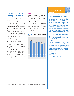### **I** VIEWS ABOUT EDUCATION ARE REMARKABLY SIMILAR ACROSS THE COUNTRY

Given that Canada has 13 provincial and territorial education systems, and a variety of federal, provincial and local approaches to education for Canada's First Nations and Inuit children and youth, one might expect significant regional differences among survey respondents. It is heartening that the 2007 CEA Survey revealed some remarkably similar views across the country, especially in the areas of teaching, learning, and overall satisfaction with teachers and the school system.

As a general comment, we were surprised by the similarity of views held by adults with children currently enrolled in elementary and secondary schools and those who did not. We often hear that adults without children in school tend to hold different views and have lower levels of commitment to public education; and while this perception held true in a couple of areas,<sup>4</sup> results of the 2007 CEA Survey revealed that the gap between these two groups is not nearly as wide as we commonly think it is.

### **Teaching**

ac<br>1a<br>9 0 11<br>9 90 80<br>70 70 and are consistently more satisfied wit<br>teachers than with school systems in gen<br>eral. Although satisfaction levels wit<br>teachers' work is somewhat higher in th<br>Atlantic (78%) and Prairie (76%) province:<br>70% of Canadians ag teachers than with schoon<br>
eral. Although satisfact<br>
teachers' work is somew<br>
Atlantic (78%) and Prairie<br>
70% of Canadians agree<br>
doing a good job.<br> **FIGURE 2:** % Canadians very on<br>
with the jobs teachers are doing<br>
90 Canadians in all regions share a high level of satisfaction with the jobs teachers are doing in elementary and secondary schools and are consistently more satisfied with teachers than with school systems in general. Although satisfaction levels with teachers' work is somewhat higher in the Atlantic (78%) and Prairie (76%) provinces, 70% of Canadians agree that teachers are doing a good job.



### THE TEACHING PROFESSION IN CANADA



The Canadian Teachers' Federation is pleased with the results of the CEA survey showing the high degree of satisfaction Canadians have with teachers. This survey supports the findings of the Léger Marketing public opinion poll in May 2007, which showed that 89% of Canadians and 93% of students trust teachers. Teaching was reported as the fourth most trusted profession of 23 professions about which Canadians were surveyed. Léger has conducted the same survey in each of the last five years.

The consistent support shown for teacher assigned marks as the source for school grades is also gratifying. Constant criticism of education in Canada from groups with their own biases (such as the Fraser Institute and the Atlantic Institute of Market Studies) has left Canadians questioning what to believe. These surveys show that the hard work of teachers has earned public confidence. Research done by CTF and its Member organizations corroborates these results.

Teachers work to maintain trust and respect. They value relationships with communities, especially with parents. Studies have clearly indicated that positive relationships teachers maintain create better learning conditions for students. We believe that it is also one of the contributing factors that place Canada's education systems among the top three in the world.

DR. CALVIN FRASER SECRETARY GENERAL CANADIAN TEACHERS' FEDERATION

4 These two areas were: 1) willingness to serve on a local school council and 2) levels of interest and participation in educational issues.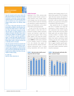### STUDENT ASSESSMENT IN CANADA



Large-scale assessments provide common measures that allow systems and schools to see where they are and make focused plans for improvement. Classroom assessments, especially when they are used to determine what students need to do and learn next, can be a powerful lever for changing teaching practices and enhancing student learning.

In the absence of high quality information from schools that the public has confidence in, they will continue to support large-scale standard measures of student achievement. Parents value classroom assessments and understand that teachers are uniquely positioned to see the complexity of learning for each student. However, they do not always have confidence in the objectivity or fairness of the results. This places an enormous responsibility on teachers to provide high quality information that the public can trust, and makes it essential that school districts develop effective systems of classroom assessment that are defensible and fair for all students.

Large-scale assessments and classroom assessments done by teachers both make important contributions to continuous improvement in education. It is important that we continue to support both approaches and ensure that both forms of assessment provide high quality information that the public can have confidence in and value as fair representations of students' learning.

DR. LORNA EARL DIRECTOR, APORIA CONSULTING LTD.

### Student Assessment

Beginning in the 1990s, province-wide assessment systems became common in many provinces across Canada. Assessment strategies vary, but most provinces now have systems in place for measuring and reporting on student achievement in literacy and mathematics at the school, school district and provincial levels.

As part of the 2007 CEA Survey, we asked Canadians to share their views on provincial secondary student assessment systems and observed a high level of agreement across regions. There is strong public support (77%) across the country for province-wide high school graduation exams (FIGURE 3). A 2006 survey conducted by the Canadian Council on Learning (CCL) also indicates that support for large-scale provincial, national and international achievement tests is strong among respondents with recent direct CC rg at m<br>at m<br>90 80 70 for province-wide high school graduatic<br>exams (FIGURE 3). A 2006 survey conducte<br>by the Canadian Council on Learnin<br>(CCL) also indicates that support for<br>large-scale provincial, national and inte<br>national achievement tests

experience with Canadian schools. As CCL reports, three-quarters (75%) of Canadians "agree that tests measure vital aspects of learning and help schools to provide better instruction" while two-thirds (66%) agree that they "are a good tool to hold schools accountable for their performance."xx

ke<br>10 10<br>9 10<br>9 10<br>9 10 Data reported by the CCL indicated that 60% of Canadians view large-scale assessments as "better measures of student achievement than teacher-assigned grades,"xxi but the 2007 CEA Survey, which polled adults with and without children currently enrolled in Canadian schools, revealed that a clear majority (60%) believe that teacher assessments should continue to be the source of high school grades (FIGURE 4). This is a finding that we take to suggest Canadians' general agreement that parallel provincial and classroom-based student assessment systems should be maintained.

# using province-wide tests (% Agree)



### **FIGURE 4:** High school grades should mainly reflect teachers' assessments (% Agree)

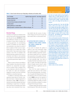

| Area of schooling                                                            | Significant change required (%) Some change required (%) |    |
|------------------------------------------------------------------------------|----------------------------------------------------------|----|
| Learning in elementary schools                                               | 55                                                       | 30 |
| Learning in high schools                                                     | 58                                                       | 32 |
| Connections between learning in and outside of school                        | 58                                                       | 29 |
| Learning outcomes                                                            | 62                                                       | 30 |
| Addressing differences in student abilities                                  | 55                                                       | 32 |
| Addressing inequities in educational outcomes for different social groups 60 |                                                          |    |

### Educational Change

Canadians in all regions are divided in their views on the success of educational change over the past ten years (SEE PAGE 14). Amid these differences, however, we also noted a number of areas where Canadians are in strong agreement. An overwhelming number of Canadians are more likely to react positively to new ideas for schools if there is evidence of their success in experiments (83%) or on a large scale in other schools (89%). These views stand in sharp contrast to the 44% of Canadians who indicate that they would be much more or somewhat more likely to react positively to new ideas for schools based exclusively on provincial government support for the idea.

When it comes to factors most likely to shape Canadians' views about how schools should be run, named their own experiences as a parent (70%) or student (51%) as very important, while the influence of the media (TV, radio and newspapers, magazines or books) was most commonly identified as somewhat important.

In addition to favouring evidence and experience-based ideas for schools, Canadians also favour a balanced approach to educational change. TABLE 3 illustrates a national trend toward attitudes that favour maintaining an equal focus on improvement in all areas of schooling; views which may draw some momentum from Canadian beliefs that the success of educational change over the past ten years has been mixed (38%) or unsuccessful (24%).

### **I** SATISFACTION WITH SCHOOLS IS GENERALLY HIGH ACROSS CANADA, BUT THERE IS ROOM FOR IMPROVEMENT

If you were to evaluate the quality of schools in your local community, would they receive top grades or a failing mark? We asked Canadians to give their community schools a grade from A to F and found that assessments of the quality of elementary and secondary schools across the country were generally high. One third of Canadians feel their local schools are average (a C grade), and while 42% gave their schools a B grade, only 6% chose A, which suggests that there is significant room for improvement.

Since CEA first asked Canadians to grade their local schools in 1979, schools have received passing grades. The proportion of A grades fell sharply between 1979 and 1990 from 19% to 6%, where it remains in 2007 (FIGURE 5) and yet, the majority of Canadians (between 65% and 75%) have consistently judged the quality of schools in their community as average (C) or above average (B) for the past 28 years.

Canadian Gallup Polls reported a similar trend during the 1980s when the number

### WHAT NEEDS TO CHANGE?

Given that most Canadian adults have been through the education system, are greatly influenced by their own experiences as students or as parents, and seem to support the general notion of change, a question that emerges for me is: what are the changes that they believe are necessary?

Based upon conversations that I have had with fellow parents, as well as survey results in my own school division, my feeling is that many adults, regardless of the successes they may have had in their own schooling, have a growing sense that the skills and sensibilities required for success in the adult world are changing. As a result, many believe changes are necessary, but are unsure of what they need to be – New thinking? A return to basics? And how will we know if we are successful?

Firstly, we need renewed conversations at the local, provincial, and national level about the larger context for schooling; what are the characteristics of the better world we wish to create? I believe that it is only through these conversations that a new consensus for significant change can occur. Secondly, as a body of professionals, we educators need to gain our voice and lead. During the past 20 years, a significant body of experiential knowledge has been developed that identifies what works in educational and organizational change. In the absence of sound moral and research-based leadership, systems will continue to lurch from one reform initiative to another gaining the cynicism that they richly deserve. In the absence of sound moral and research-based leadership, simplistic notions of external accountability will be imposed upon us and take us to where we do not want to go.

DUANE BROTHERS SUPERINTENDENT-CEO SUNRISE SCHOOL DIVISION, MANITOBA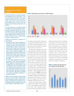### EXPLORING PUBLIC ATTITUDES IN QUEBEC

The results of the 2007 CEA survey indicate that Canadians hold remarkably similar views about education. At the same time, however, we noticed that the views of Quebec residents were different from those in other parts of Canada in response to quite a few of the questions. We asked educational leaders in Quebec to share their thoughts on factors that might have contributed to these differences.

As a general comment, we were reminded that Quebec was in the midst of an election campaign from January to March 2007, a period that overlaps with the survey timeline. While the CEA Survey continued to May, education reform was frequently in the media spotlight during the election campaign, including a proposal by one party to abolish school boards in favour of shifting education governance to municipal governments.

In addition to this current context, it is important to consider the following:

- The impact of ten years of extensive and highly controversial education reform in Quebec, which reached the third grade of secondary school in 2007/08. Reforms have been debated extensively in the media and contested by teachers in a public way. We cannot assume that the high level of public debate surrounding these reforms is directly responsible for Quebeckers' views about education, but we can theorize that they may be influential in Quebec residents' above average view that there have been too many changes in education and their generally negative perception of the success of these changes.
- The view of Quebec respondents that their provincial government has "too little" control over local education. While this might seem to contradict the point above, it was suggested that this view reflects Quebeckers' strong cultural attachment to their public institutions and their role in building the province's capacity, and to confirm it as a distinct culture in Canada. This notion is also reflected in Quebeckers' higher than average confidence in their school systems, which reflects an overall belief in the longer-term sustainability and effectiveness of improvement in education.

Relative to the views expressed in other regions, Quebec respondents were the least likely to support increased government spending on education or increased taxes for education, a finding which may be explained by the reality that Quebec residents pay the highest taxes in Canada and direct higher than average funding to education.



of Canadians who gave their schools an A or B dropped dramatically between 1979 and 1986,<sup>xxii</sup> and the proportion of Canadians satisfied with education in general reached a low of 35% in 1992.<sup>xxiii</sup>

We also asked Canadians about their overall satisfaction with their local schools and school systems. When compared with the results of earlier CEA surveys, we found that satisfaction levels have generally improved in the past fifteen years with 60% of Canadians reporting in 2007 that they are very or somewhat satisfied with school systems in general. At the same time, we are observing an opposite trend in Canadians' level of confidence in public schools since 1984 – when 76% of Canadians reported a great deal or fair amount of confidence – public confidence fell a full 31% to 45% in 2007 (FIGURE 6). This upward trend in satisfaction and downward trend in confidence suggests that Canadians generally believe school systems are improving, but are largely unsure about the sustainability of improvements over time.

Within this national picture of public satisfaction and confidence, it is important to note some significant regional differences. Since 1984, Canadians living in British Columbia and Quebec have consistently reported lower levels of satisfaction with schools and the school system than those living in the Prairie provinces of Alberta, Saskatchewan and Manitoba. And while British Columbians' satisfaction levels persist through modest levels of confidence (37%) in public schools, those in Quebec show a strong contrast – Quebeckers have the lowest level of satisfaction and the highest level of confidence in schools in the country, an interesting combination of opinion that we explore further in the adjacent commentary.  $10^1$  ct  $11^1$  ct  $90$  80 70 80 70 70  $70$ confidence (37%) in public schools, tho<br>in Quebec show a strong contrast<br>Quebeckers have the lowest level of sat<br>faction and the highest level of confiden<br>in schools in the country, an interestii<br>combination of opinion tha



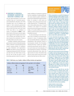### **I** CONFIDENCE IN PROVINCIAL GOVERNMENT LEADERSHIP FOR EDUCATION IS GENERALLY LOW

We also asked participants to tell us how confident they are in provincial government leadership for education. Few (19%) Canadians have a lot of confidence and respect in their provincial governments when it comes to educational policy, while close to half (45%) have some and a third (33%) have little or no confidence or respect. As illustrated in FIGURE 7, confidence levels in this area do vary by region from a high of 29% in Quebec and a low of 13% in Ontario who said they were confident, however the consistency of views is generally similar across the country.

Canadians' attitudes toward provincial governments in terms of educational policy reflect a national<sup>xxiv</sup> and international trend toward a general decline of confidence in many institutions and organizations (TABLE 4). And while we cannot make direct comparisons between the 2007 CEA Survey and data from the World Values Survey, the two sets of data do point to some interesting questions about the nature of public confidence in institutions in general and the complexity of understanding specific issues related to public confidence in government leadership through education policy. For example, to what extent are Canadians' views about government leadership influenced by: 1) competing interests in other public policy areas, 2) overall confidence and respect for incumbent provincial and territorial government leadership, or 3) overall confidence in Canada's ability to sustain its future performance in the global economy?

It is also interesting to note that Canadians' lack of confidence in provincial governments in terms of educational policy does not translate directly to a high level of dissatisfaction with provincial control of local education. Overall, 13% of Canadians indicated that they "couldn't say" whether provincial governments had too little or too much control over local education. Of the remaining 87%, however, 31% feel their provincial governments have about the right amount of control, 34% believe they have too much control, and 22% are of the opinion that they have too little control.

**TABLE 4:** World values survey: Canadians' confidence in different institutions and organizations<sup>xxv</sup>

| Confidence in different institutions and organizations (% with a great deal or a lot of confidence) |      |      |                          |      |                |  |  |  |  |
|-----------------------------------------------------------------------------------------------------|------|------|--------------------------|------|----------------|--|--|--|--|
|                                                                                                     | 1990 | 2000 |                          | 1990 | 2000           |  |  |  |  |
|                                                                                                     |      |      |                          |      |                |  |  |  |  |
| <b>Churches</b>                                                                                     | 64   | 58   | <b>Labour Unions</b>     | 35   | 35             |  |  |  |  |
| <b>Civil Services</b>                                                                               | 49   | 49   | <b>Major Companies</b>   | 51   | 53             |  |  |  |  |
| Government                                                                                          |      | 22   | Media                    | 46   | 35             |  |  |  |  |
| <b>Justice System</b>                                                                               | 54   |      | <b>Political Parties</b> |      | 4 <sup>1</sup> |  |  |  |  |

## BUILDING CONFIDENCE IN EDUCATION **GOVERNANCE**



Effective communications are essential for developing and maintaining a high degree of public confidence in the education system. The public expresses the highest satisfaction with public education when they have direct experience through their local schools. Confidence in the education system as a whole is, however, a much deeper concept. Often the public cannot distinguish the roles and responsibilities among schools, school boards, and provincial Departments or Ministries of Education. The public seems to perceive them as if they are loosely connected systems within a system, and cannot distinguish among them, especially when it comes to communication. We need to do a much better job of reaching out to each other and to our communities to engage them in a meaningful dialogue about our schools and our public education system.

We cannot underestimate the importance of community engagement as a source of public confidence. When we connect with school communities, ask genuine questions on issues that matter to them, and provide the tools and knowledge they need to be part of an informed dialogue, we build confidence in the system. Genuine public engagement will not guarantee consensus and this is okay if we believe that a wide diversity of opinions is the sign of a healthy democratic system. We stand to compromise public trust only when we fail to foster diverse views.

School systems and provincial governments also build public confidence when they help people learn how to effectively navigate and advocate for themselves within the system. In many ways we have become vested in "fixing the problem" or "putting out fires" as a way of building public confidence. This approach often has the opposite effect because it brings the stability and fairness of our systems into question and fosters adversarial relationships. It is a difficult balance to achieve, but we need to build public trust in our ability to meet the needs of individual students while also making sound strategic decisions that benefit all students.

As Canadians, we need to realize that now, more than ever, the performance of our education systems is important to us as a nation. It is important to know where we want our education systems to be for the success of individuals and the nation in the global economy. To build confidence in the collective picture of education in Canada, we need to know what matters to the public and then we have to use this knowledge to design indicators that allow us to regularly take the temperature of our public education systems both within and across jurisdictions.

### HOWARD WINDSOR (SCHOOL BOARD) AND CAROLE OLSEN (SUPERINTENDENT) HALIFAX REGIONAL SCHOOL BOARD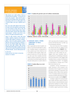### BUILDING CONFIDENCE IN CANADIAN SCHOOLS



Public education rests on public confidence. Schools can only flourish where the population – not only parents, but also the entire community – believes that the system is performing well and helping students attain good educational outcomes. After all, we are asking people to trust us with their children, and to give us significant sums of money.

Many sources inform public judgments about the education system, but the most important are personal experience or the experience of others whom we value. This means that every interaction between schools, students, staff and the broader community affects public attitudes towards education – for better or worse. Like it or not, schools are in the public communications business.

Support for public education remains high among Canadians, especially in comparison to other institutions. In general, public confidence in institutions is declining – perhaps a result of the greater propensity to question things that results from increased levels of education. In that sense, more education probably makes it harder to build and sustain public confidence. While educators should be pleased with the degree of support we have, this support can never be taken for granted and must be built and rebuilt continually – hard, but vitally important work.

DR. BEN LEVIN ONTARIO INSTITUTE FOR STUDIES IN EDUCATION, UNIVERSITY OF TORONTO



### **I** CANADIANS SHARE A STRONG COMMITMENT TO PUBLIC **EDUCATION**

Next to generally low levels of public confidence in provincial leadership for education, Canadians express a strong desire to have a greater say in how schools are run in all regions of the country. When compared to results from 1979 and 1984, there is a clear sense that Canadians feel their ability to influence education in their local communities has declined significantly over the past twenty years to a point where in ara<br>bilprediction<br>90 80 70 FIGURE 8: % Canadians willing to serve only that a greater say in how schools are in all regions of the country. When contrapted to results from 1979 and 1984, this a clear sense that Canadians feel the ability to influenc

8 0 ) true Gloup 90 80 70 60 50 6 0 **GI**<br>10 90<br>80 70 60<br>50 40<br>30 46 % ns v $\frac{41\%}{2}$ 4 0 g to serve on local  $\frac{36\%}{256}$ E 8:<br>0un<br>37% 3 0 90<br>80<br>70<br>60<br>50<br>90<br>20<br>20<br>10<br>0 80<br>70<br>60<br>50<br>50<br>30<br>20<br>10<br>0  $\overline{80}$  $70$ 46% 41% 36% 38% 41%<br>37% 41% 36% 38% 41%<br>Atlantic Quebec Ontario Prairies B.C. Canada 60  $50$  $40$ 30  $20$  $\overline{10}$  $\overline{0}$ 

2007, more than 60% of residents in every province feel that they have "too little" say in local education decisions.

Four out of every ten (41%) Canadians also indicate that they are willing to serve on a local school council (FIGURE 8). This – along with a high degree of desire to have a greater say in how schools are run – suggests that many Canadians share a strong interest in contributing to decisions about local education. It also suggests that Canadians favour a variety of mechanisms – including school councils – for engaging in conversations or "having a say" in how their local schools are run.

Canadians' strong commitment to public education is also revealed in the tremendous level of support for increased government spending on elementary and secondary schools. Almost three-quarters (72%) of Canadians believe provincial governments should be directing more financial resources to public schools (FIGURE 9).

Canadians' support for increased funding to public education systems stands in sharp contrast to national attitudes toward government funding for private schools. Excluding the Prairie provinces, where 54% of residents support government funding



school councils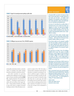



**FIGURE 9:** Support for increased government spending on public schools

31%





of all public and private schools, a minority (38%) of Canadians feel public funding should be extended to all private schools.

And while Canadians are generally divided in their willingness to pay increased taxes to finance education spending (FIGURE 10), a majority (between 55% and 63%) of residents – including an equal number of adults with and without school aged children – living outside of Quebec are willing to pay more taxes to support increased funding to schools. When this data is compared to results of the 1984 CEA study, a national shift in attitudes toward taxes for education is revealed: accounting for variations in different regions, Canadians are at least 10% more likely to say they are willing to pay more taxes for education today then they were 22 years ago. And while this finding must be treated with caution, it can be taken to challenge political claims that a majority of Canadians are in favour of tax cuts, at least as far as education is concerned.

### PARENT ENGAGEMENT

4%<br>4%<br>add

In November 2002 I was elected to the Vancouver School Board. Several months before, an equally important but much quieter event took place – my daughter started kindergarten. The juxtaposition of these experiences created a unique opportunity to reflect on how public education serves communities and individual learners.

At the time, B.C. had suffered from one billion dollars of educational services cut over a decade. The numbers were staggering. As a parent, I was angry that my daughter would have less opportunity than I, a child of the 1970s. As a trustee, I felt that I had failed the system. Along with the right of well-funded public education comes a responsibility for its defence.

So defend we did. Parents, teachers, principals, support staff, community groups, editorial pages sustained months of advocacy… and we won! Over our three-year tenure, hundreds of millions of dollars were restored.

This was lesson number one: the community is painfully aware that more funding is needed but successful advocacy requires leadership with a broad community mandate. Conversely, when elected officials fail to speak out, it is a significant abrogation of the community's expectation and trust.

The second lesson was harder to learn. The challenges multiplied with the money. This seemed an inevitable denouement; a shared struggle for funds had splintered into individual struggles. But the problem was actually much deeper; our fight to restore funding belied an assumption that the programs cut were still relevant while in reality some no longer were.

Which brings me to the final lesson: while the system can absorb failure, each parent only has one chance to support their children in meeting their unique potential. This most basic of parental instincts must be valued and responded to even as we study, peer-review, pilot and implement new programs.

There is a great deal of work to do to reach the potential of both the system and each individual learner. Supporting leadership and critically examining our practice – even as we fight for adequate funding and focusing on each learner as a test of our success – are critical ingredients for crafting a 21<sup>st</sup> century education system.

### ANDREA REIMER PARENT AND FORMER TRUSTEE VANCOUVER SCHOOL BOARD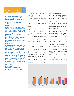### A DECADE OF REFORM IN CANADIAN PUBLIC EDUCATION



The results compiled on the opinions of Canadians regarding educational reforms implemented over the past ten years show that the public has heard about the vast changes that have taken place in the various public school systems across the country. It's noteworthy that few Canadians have sufficient information to realize the extent of these changes, since only 20% believe that the reforms were major.

In addition, the results indicate that the Canadian public is, so to speak, equally divided in its assessment of the impact of these reforms on students. This is particularly the case of high schools, since approximately 30% of respondents believe that the impacts were positive, 30% think they were neutral and 30% feel they were negative. As often happens in public opinion surveys, some results are indeed intriguing, as is the case in Quebec, where there is the largest proportion of respondents in Canada who thought that the changes introduced were going in the right direction (40%), while believing that the new approaches were not very successful (28%).

Moreover, opinion polls being what they are, which are a picture of what the "man or woman on the street" think, I'm surprised that opinions across Canada are so similar. In fact, I would have expected greater differences in opinion between the various provinces and regions, as well as within each region. I believe that this relative consistency can be explained by the fact that many of the respondents probably have little regular close contact with school communities and therefore do not know exactly what major reforms have taken place in the Canadian educational landscape in the past decade. What little they do know undoubtedly comes mostly from mainstream media, which is notably reflected in the responses given by survey participants in Quebec.

### DR. CLAIRE LAPOINTE DIRECTRICE, CENTRE DE RECHERCHE ET D'INTERVENTION SUR LA RÉUSSITE SCOLAIRE

### **I** CANADIANS HAVE MIXED VIEWS ON EDUCATIONAL CHANGE

The 2007 CEA Survey introduced a new set of questions to gauge Canadians' beliefs about educational change from retrospective and forward-thinking perspectives. In both cases, Canadians are generally divided in their attitudes toward educational change.

### The Direction of Change

10 dd<br>arve arsil<br>arsil dd<br>arsil dd<br>i ddd ddor<br>printidi<br>**90 80**<br>**90 80**<br>50 80 50 A majority (89%) of Canadians are aware that changes have taken place in public schools over the past ten years, but tend to hold different views about the extent of change. Three in ten Canadians say they have seen minor (31%) or moderate (29%) changes while a further two in ten (20%) feel changes in schools have been major (FIGURE 11).

Canadians in all regions are also largely divided on the scale and direction of provincial governments' attempts to change schools:

•Few Canadians (20%) rate provincial approaches to change as "about right," and on either side of this view are beliefs that governments have introduced either too many (33%) or too few (40%)

changes over the past ten years.

•54% of Canadians believe educational change has been a mix of initiatives headed in the right and wrong directions. At a regional level, more residents in the Atlantic and Prairie provinces had mixed views about the direction of change and were least likely to assess changes to schools as heading in the wrong direction, while residents in Quebec were the most decided on the direction of change, with only 39% holding mixed views and significant number (40%) feeling that changes were heading in right direction; a full 13% above the national average of 27%.

Over one-third of Canadians (38%) are uncertain about the success of changes to public schools in the last decade, but a third (33%) also believe changes have been somewhat successful in contrast to a much lower number (18%) who rate the overall success of change as somewhat unsuccessful. In this case, however, Canadians' evaluations of educational change shift considerably if we account for regional differences. In the province of Quebec, where residents are most likely to agree



### **FIGURE 11:** Perceived change in the way schools operate over the past 10 years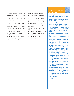that educational change is heading in the right direction, it is interesting to note an opposite trend in residents' views on the implementation of these changes: Quebeckers are less than half as likely (16% compared to a national average of 40%) to evaluate the changes they have seen in schools as somewhat successful and almost twice as likely to evaluate them as unsuccessful (28% compared to a national average of 15%).

In reflecting on improvements to the quality of education in elementary and secondary schools over the past ten years, Canadians in all regions are also divided:

•Across Canada, 34% of Canadians believe that the quality of education received by elementary students

improved a little (26%) or a lot (8%) in the last 10 years. A further 27% feel the quality of education has remained the same or worsened (31%). A significantly higher proportion of Quebeckers feel that it worsened a little (32%) or a lot (12%) compared to all other regions in the country.

•A similar percentage (28%) of Canadians believe the quality of education received by high school students improved in the last 10 years and are equally divided on whether the quality of high school education remained the same (30%) or worsened (29%).

## THE IMPORTANCE OF PUBLIC EDUCATION IN CANADA

In 2002-2003, Alberta undertook a major review of education in the province. A nine-person commission, supported by staff and expert advisors, engaged the public and educational stakeholders in a dialogue to set the course of public education in Alberta for the next 20 years.

We heard from countless individuals and organizations and completed a comprehensive review of research on a wide range of topics, with a goal to look beyond the issues of today and to think of the skills, knowledge, programs and supports children need to succeed, now and in the future; a future that could be very different from what we see today.

There was strong public acknowledgement of the following:

- Public education is the most important investment we can make as a society. Our education system not only shapes individual students' lives, it shapes the very nature of our society. A strong and vibrant public education system is critical to develop social cohesion and the kind of civil society we need for the future.
- The education system must start and end with children and youth. Schools are not there for teachers or administrators, or for parents, or for businesses or government. The first and only criterion for judging the success of schools and the education system should be how well every child learns, and how every child succeeds.
- It is critical to look beyond the pressing issues of today and prepare for the future. The best approach is to ensure that our education system remains flexible, resilient and able to anticipate and adapt to a climate of perpetual change.
- Education will become more critical to individuals, their communities and the country as a whole, with the growing importance of skills, knowledge and ideas required in a global economy.

Our Canadian provinces have excellent education systems, as rated against OECD countries. We have a strong public education system open to all children; however, the public wants more of our educational systems. They want to build on our successes and ensure nothing short of excellence in the future. Financial and human resources will be required to bring this vision to reality.

PATRICIA MACKENZIE CHAIR, ALBERTA COMMISSION ON LEARNING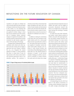# REFLECTIONS ON THE FUTURE EDUCATION OF CANADA

Canadians in all regions are divided and often uncertain about the scale and impact of change in schools over the past ten years. In this context, it is not surprising that Canadians expressed a strong, but temperate appetite for further change. In views that are very consistent across the country, 46% of Canadians believe moderate changes are required to fix problems with education systems in their province and the remainder are split between support for minor (21%) and major (27%) change.

Canadians share a relatively high level of satisfaction with schools and school systems across the country and are largely in agreement that some change is required, but not a lot. Alongside this modest appetite for change is a strong sentiment that there is a great deal of room for improvement at the school, school district and provincial government levels of our education systems. This sentiment is 9 0 % aru (n. 11)<br>aru (n. 11)<br>cism: re t p (at p 11)<br>**30 80 80 70 60 50 40** 7 0

echoed in several of the commentaries that appear throughout this report and in the works of many Canadian and international authors who write about the dramatic difference that the modern context of schooling makes in how we view the outcomes of education for individuals and society as a whole.

In addition to sharing his commentary in this report, Ben Levin reminded us that, "public opinion polls tell us what people think, but don't necessarily tell us what to do." The results of this report are an important snapshot of Canadians' current attitudes toward public education and contribute to what Howard Windsor and Carole Olsen of the Halifax Regional School Board refer to as "the collective picture of education in Canada." To also become valuable in helping us to define a way forward for education in Canada, however, the results need to be drawn into a larger





conversation that also includes the views of children and youth, and the insights of provocative educational research that allows us to imagine how we might think about learning and schooling in radically different ways.

In Canada, like many other industrialized nations, school systems provide all children and youth with equal opportunities, but produce unequal outcomes. Our educational challenge is to create schools and school systems that achieve equal opportunity and good outcomes for *all*students. Canadians' strong commitment to public education and their desire to have a greater say in decision-making is an incredible asset in overcoming this challenge – we cannot have a thriving public education system without an interested public. At the same time, however, we have to overcome a tendency in education – and many other public policy areas – to think about change as a process of improving what we have, rather than a process of discovering new and novel ideas for transformation. As Gordon Martell observes in his commentary on new forms of governance for First Nations' education in Canada: sometimes the only way forward is through "the continued development of new and innovative responses" that force "antiquated structures and one size fits all educational delivery models" to give way to a variety of local and regional ideas grounded in the vision and capacity of communities.

In sharing findings from the 2003 Final Report of the Alberta Commission on Learning, Patricia MacKenzie reports that the public strongly acknowledged that: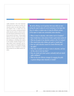"public education is the most important investment we can make as a society. Our education system not only shapes individual student's lives, it shapes the very nature of our society. A strong and vibrant public education system is critical to develop social cohesion and the kind of civil society we need for the future." If these beliefs hold true across the country, and we think they do, we need to grasp Canada's education challenge as something that matters to all Canadians, identify strategies to revitalize citizens' roles in education, and create the conditions for thoughtful dialogue about the future of education in Canada that we desire for our children and for ourselves.

**I** We end by offering a set of questions that arose while we were writing this report in place of a set of conclusions in the hopes that they stir readers to explore ways of using the different sections of this report to inspire new conversations about education.

- When it comes to education, what matters most to Canadians?
- Does Canada have a clear picture of what a good school system is?
- What are the goals of our education systems in the 21st century?
- Who should decide what children and youth in Canada learn?
- How can useful education research be shared effectively with the public?
- What ideas do people trust when it comes to education, and how do they come to trust new ideas?
- How can schools and school systems continually build and rebuild public confidence?
- What are the most effective strategies for engaging the public in genuine dialogue about education in Canada?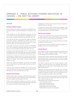# APPENDIX A – PUBLIC ATTITUDES TOWARD EDUCATION IN CANADA – THE 2007 CEA SURVEY

### **QUESTIONS**

### Satisfaction/Confidence Questions

**I** How satisfied are you with the school system IN GENERAL? (very, somewhat, neither, somewhat dissatisfied, very dissatisfied, can't say)

**I** How satisfied are you with [PROVINCE] ELEMENTARY and HIGH SCHOOLS when it comes to the job teachers are doing? (very, somewhat, neither, somewhat dissatisfied, very dissatisfied, can't say)

**I** Over the past ten years, do you think the quality of education received by students in [PROVINCE] ELEMENTARY SCHOOLS, has improved a great deal, improved a little, remained the same, worsened a little, worsened a great deal, can't say?

**I** The quality of education received by students in [PROVINCE] HIGH SCHOOLS improved a great deal, improved a little, remained the same, worsened a little, worsened a great deal, can't say?

**I** Students are often given the grades A, B, C, D, or Fail to indicate the quality of their work. If the public schools in your community were graded in the same way, what grade would you give them?

**I** What degree of change do you feel is necessary to fix problems with the educational system in your province and make it work for people? (no changes, minor changes, moderate changes, major changes, can't say)

**I** How much respect and confidence do you have in the public schools in your province? (great deal, quite a lot, some, very little/ none, can't say)

**I** And how much respect and confidence do you have for your provincial government when it comes to educational policy? (great deal, quite a lot, some, very little/none, can't say)

### Educational Finance Questions

**I** What would you like to see happen to TOTAL government spending? (increase greatly, increase somewhat, keep up with inflation, decrease somewhat, decrease greatly, can't say)

**I** What about government spending for ELEMENTARY and HIGH SCHOOLS? (increase greatly, increase somewhat, keep up with inflation, decrease somewhat, decrease greatly, can't say)

**I** Would you be willing to pay more taxes to support education in [PROVINCE]? (yes, no, can't say)

**I** Provided the schools meet province-wide standards, what schools do you think should be given government funding? (only currently funded public, all public and private)

### School Governance Questions

**I** Overall do you think that the Provincial government now has far too little, somewhat too little, about the right amount, somewhat too much, or far too much control over local education?

**I** Do you feel the public has too much say, enough say, or too little say about how schools are run?

**I** If asked today, would you definitely, probably, probably not or definitely not serve on a local school council?

### Innovation Questions

**I** Over the past 10 years, would you say that there has been no real change, minor changes, moderate changes, or major changes in the way that schools in [PROVINCE] operate?

**I** Over the past 10 years, would you say government and school authorities have tried to make far too many, somewhat too many, about the right number, somewhat too few, or far too few changes in the province's schools?

**I** On balance, would you say most of these attempts to make changes in schools have been in the definitely right direction, probably right, some right some wrong, probably wrong, or definitely wrong direction?

**I** Regardless of whether you think these changes were in the right or wrong direction, given their goals, would you say they were very successful, somewhat successful, some successful/some unsuccessful, somewhat unsuccessful, or very unsuccessful?

**I** How much need is there, if any, to find new ways of doing things when it comes to each of the following? (great deal, quite a lot, some, a little, no need, can't say)

- •Help students learn in elementary classrooms:
- –Learn in high school classes
- –Link school and outside learning
- –Decide what is important to learn
- –Handle differences in student abilities
- –Handle different outcomes for social groups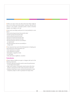**I** When you read or hear new ideas about how things might be done in our schools and school system, would you say your first reaction is very positive, somewhat positive, neutral, somewhat negative, very negative, can't say?

**I** How much more likely would you be to react positively to a new idea if:

- •your provincial government favoured the idea?
- •teachers groups favoured the idea?
- •parents groups favoured the idea?
- •group you trusted favoured the idea?
- •parents you know favoured the idea?
- •the idea had been tried out successfully in an experiment?
- •the idea had been tried out successfully on a large scale?

**I** How important have each of the following been in shaping your views about how schools should be run?

- •Own experiences as student
- •Own experiences as parent
- •Newspapers, magazines, books
- •TV and radio
- •Talk with friends, neighbours, coworkers

### Testing Questions

**I** Please indicate whether you agree or disagree with each of the following statements:

- •Province-wide tests should be used to assess the performance of each high school student.
- •High school students' final grades should mainly reflect their teachers' assessments not the results of province-wide tests.
- •Students should have to pass a provincial examination in each compulsory subject in order to graduate from high school.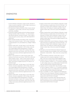# ENDNOTES

- i Council of Ministers of Education, Canada (no date). Education in Canada. Accessed on September 12, 2007 at (http://www.cmec.ca/ international/educationcanada.en.pdf)
- ii The Department of Indian and Northern Affairs Canada, retrieved on September 12, 2007 at (http://www.ainc-inac.gc.ca/pr/pub/ ywtk/index\_e.html#fep)
- iii Government of British Columbia and the First Nations Education Steering Committee (2006). *News Release – B.C. and First Nations Sign Education Agreement*. Accessed on October 1, 2007 at (http:// www2.news.gov.bc.ca/news\_releases\_2005-2009/2006OTP0117- 000907.htm)
- iv British Columbia Assembly of First Nations (2005). *Transformative Change Accord*. Accessed on October 1, 2007 at (http://www.bcafn. ca/index.php?option=com\_docman&task=doc\_view&gid=179&Item id=29)
- v Statistics Canada (2007). *The Daily, August 30, 2007: Public School Indicators.* Accessed on September 12, 2007 at (http://www.stat can.ca/Daily/English/070830/d070830d.htm). For detailed information see Statistics Canada (2007). *Summary Public School Indicators for the Provinces and Territories, 1998/1999 to 2004/2005*  at (http://www.statcan.ca:80/bsolc/english/bsolc?catno=81-595- MIE2007050)
- vi Blouin, P. and Courchesne, M-J (2007) *Summary Public School Indicators for the Provinces and Territories*, 1998/1999 to 2004/2005. Ottawa: Statistics Canada – Culture, Tourism and the Centre for Education Statistics Division. Accessed on September 20, 2007 at: (http://www.statcan.ca/english/research/81-595-MIE/81-595- MIE2007050.pdf)
- vii Statistics Canada (2007). *The Daily, August 30, 2007: Public School Indicators.* Accessed on September 12, 2007 at (http://www.stat can.ca/Daily/English/070830/d070830d.htm). For detailed information see Statistics Canada (2007). *Summary Public School Indicators for the Provinces and Territories, 1998/1999 to 2004/2005* at (http://www.statcan.ca:80/bsolc/english/bsolc?catno=81-595- MIE2007050)
- viii Statistics Canada (2007). *The Daily, August 30, 2007: Public School Indicators.* Accessed on September 12, 2007 at (http://www.stat can.ca/Daily/English/070830/d070830d.htm). For detailed information see Statistics Canada (2007). *Summary Public School Indicators for the Provinces and Territories, 1998/1999 to 2004/2005* at (http://www.statcan.ca:80/bsolc/english/bsolc?catno=81-595- MIE2007050)
- ix Statistics Canada and the Council of Ministers of Education, Canada (2003) *Measuring up: Canadian Results of the OECD PISA Study – The Performance of Canada's Youth in Mathematics, Reading, Science and Problem Solving. First Findings for Canadians aged Fifteen*. Ottawa: Statistics Canada. (http://www.cmec.ca/pisa/2003/highlights.en. pdf)
- x Statistics Canada and the Council of Ministers of Education, Canada (2003) *Measuring up: Canadian Results of the OECD PISA Study – The Performance of Canada's Youth in Mathematics, Reading, Science and Problem Solving. First Findings for Canadians aged Fifteen*. Ottawa: Statistics Canada. (http://www.statcan.ca/english/freepub/81-004- XIE/200412/pisa.htm#c)
- xi Statistics Canada and the Council of Ministers of Education, Canada (2003) *Measuring up: Canadian Results of the OECD PISA Study – The Performance of Canada's Youth in Mathematics, Reading, Science and Problem Solving. First Findings for Canadians aged Fifteen*. Ottawa: Statistics Canada. (http://www.cmec.ca/pisa/2003/highlights. en.pdf)
- xii Information on the School Achievement Indicators Program and reports for all subject areas are available on the Council of Ministers of Education, Canada website – (http://www.cmec.ca/pcap/indexe. stm)
- xiii Council of Ministers of Education, Canada (2005). *Science in Canadian Schools 2004.* Accessed on September 15, 2007 at (http://www.cmec.ca/pcap/science3/public/highlights.en.pdf)
- xiv Canadian Council on Learning (2007). *State of Learning in Canada – No Time for Complacency*. Ottawa: CCL, p. 37 Accessed on September 15, 2007 at (http://www.ccl-cca.ca/NR/rdonlyres/5ECAA2E9-D5E4- 43B9-94E4-84D6D31BC5BC/0/NewSOLR\_Report.pdf)
- xv Canadian Council on Learning (2007). *State of Learning in Canada – No Time for Complacency*. Ottawa: CCL, p. 37 Accessed on September 15, 2007 at (http://www.ccl-cca.ca/NR/rdonlyres/5ECAA2E9-D5E4- 43B9-94E4-84D6D31BC5BC/0/NewSOLR\_Report.pdf)
- xvi Audas, R. and Willms, J.D. (2001). Engagement and Dropping Out of School: A Life-Course Perspective. Accessed on January 8, 2007 at (http://www11.hrsdc.gc.ca/en/cs/sp/hrsdc/arb/publications/ research/2001-000175/SP-483-01-02E.pdf); Caledon Institute of Social Policy (2006) *Improving Primary and Secondary Education on Reserves in Canada.* Accessed on January 8, 2007 at (www.hrsdc.gc.ca/en/cs/sp/hrsd/prc/publications/ research/2001-000175/SP-483-01-02E.pdf)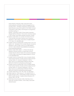Ontario Ministry of Education (2006). Early School Leavers: Understanding the Lived Reality of Student Disengagement from Secondary School – Final Report. Prepared by Community Health Systems Resource Group at the Hospital For Sick Children. Accessed on December 8, 2006 at (http://www.edu.gov.on.ca/eng/parents/ schoolleavers.pdf) pg. 27.

Richards, J. and Vining, A (2004) *CD Howe Institute Commentary – Aboriginal Off-Reserve Education: Time for Action*. Accessed on January 8, 2007 at (http://www.cdhowe.org/pdf/commentary\_198.pdf)

- xvii Statistics Canada (2002). *At a Crossroads: First Results for the 18 to 20-Year-old Cohort of the Youth in Transition Survey*. Accessed on September 15, 2007 at (http://www.statcan.ca/english/freepub/ 81-591-XIE/81-591-XIE2000001.pdf)
- xviii Canadian Council on Learning (2007). *Learning to Know, to Do, to Live Together, to Be* – *Participation in Post-Secondary Education.* Accessed on September 19, 2007 at: (http://www.ccl-cca.ca/NR/rdonlyres/ CAC7D2C5-DA8A-4E4B-B052-F06662BD8ED8/0/ParticipationIn PostSecondaryEducationEN.pdf)
- xix Statistics Canada (2006) *Chapter A a Portrait of the School-Age Population in Education indicators in Canada: Report of the Pan-Canadian Education Indicators Program 2005*. Accessed on September 15, 2007 at (http://www.statcan.ca/english/freepub/81-582-XIE/ 81-582-XIE2006001.htm)
- xx Canadian Council on Learning (2006). *Survey of Canadian Attitudes Toward Learning: Elementary, Secondary and Post-Secondary Structured Learning*. Ottawa: CCL. Accessed on September 19, 2007 at (http://www.ccl-cca.ca/NR/rdonlyres/D6B130CA-E00F-4AA2- AB08-6AF5C2E58F30/0/FactSheetStructureENGmtg.pdf)
- xxi Canadian Council on Learning (2006). *Survey of Canadian Attitudes Toward Learning: Elementary, Secondary and Post-Secondary Structured Learning*. Ottawa: CCL. Accessed on September 19, 2007 at (http://www.ccl-cca.ca/NR/rdonlyres/D6B130CA-E00F-4AA2- AB08-6AF5C2E58F30/0/FactSheetStructureENGmtg.pdf)
- xxii Canadian Gallup Poll Ltd. (1979, 1981, 1986). *The Gallup Report*.
- xxiii Gallup Canada, Inc. (1998, February 27). *The Gallup Poll, 58*(11), 2.
- xxiv Guppy and Davies (1999). "Understanding Canadians' declining confidence in public education." *Canadian Journal of Education,* 24:3, Summer 1999, p. 265-280.
- xxv World Values Survey Association (2006). *World Values Survey – Online Data*. Accessed on October 1, 2007 at (http://www.world valuessurvey.org/)